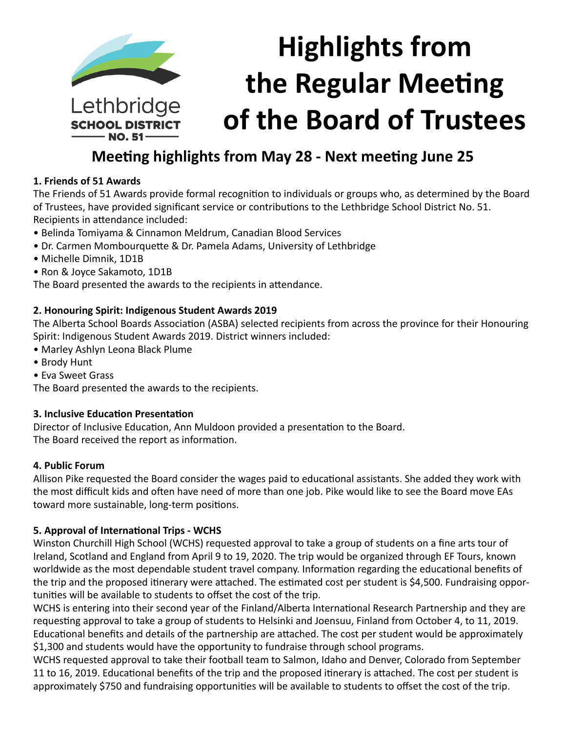

# **Meeting highlights from May 28 - Next meeting June 25**

## **1. Friends of 51 Awards**

The Friends of 51 Awards provide formal recognition to individuals or groups who, as determined by the Board of Trustees, have provided significant service or contributions to the Lethbridge School District No. 51. Recipients in attendance included:

- Belinda Tomiyama & Cinnamon Meldrum, Canadian Blood Services
- Dr. Carmen Mombourquette & Dr. Pamela Adams, University of Lethbridge
- Michelle Dimnik, 1D1B
- Ron & Joyce Sakamoto, 1D1B

The Board presented the awards to the recipients in attendance.

#### **2. Honouring Spirit: Indigenous Student Awards 2019**

The Alberta School Boards Association (ASBA) selected recipients from across the province for their Honouring Spirit: Indigenous Student Awards 2019. District winners included:

- Marley Ashlyn Leona Black Plume
- Brody Hunt
- Eva Sweet Grass

The Board presented the awards to the recipients.

#### **3. Inclusive Education Presentation**

Director of Inclusive Education, Ann Muldoon provided a presentation to the Board. The Board received the report as information.

#### **4. Public Forum**

Allison Pike requested the Board consider the wages paid to educational assistants. She added they work with the most difficult kids and often have need of more than one job. Pike would like to see the Board move EAs toward more sustainable, long-term positions.

## **5. Approval of International Trips - WCHS**

Winston Churchill High School (WCHS) requested approval to take a group of students on a fine arts tour of Ireland, Scotland and England from April 9 to 19, 2020. The trip would be organized through EF Tours, known worldwide as the most dependable student travel company. Information regarding the educational benefits of the trip and the proposed itinerary were attached. The estimated cost per student is \$4,500. Fundraising opportunities will be available to students to offset the cost of the trip.

WCHS is entering into their second year of the Finland/Alberta International Research Partnership and they are requesting approval to take a group of students to Helsinki and Joensuu, Finland from October 4, to 11, 2019. Educational benefits and details of the partnership are attached. The cost per student would be approximately \$1,300 and students would have the opportunity to fundraise through school programs.

WCHS requested approval to take their football team to Salmon, Idaho and Denver, Colorado from September 11 to 16, 2019. Educational benefits of the trip and the proposed itinerary is attached. The cost per student is approximately \$750 and fundraising opportunities will be available to students to offset the cost of the trip.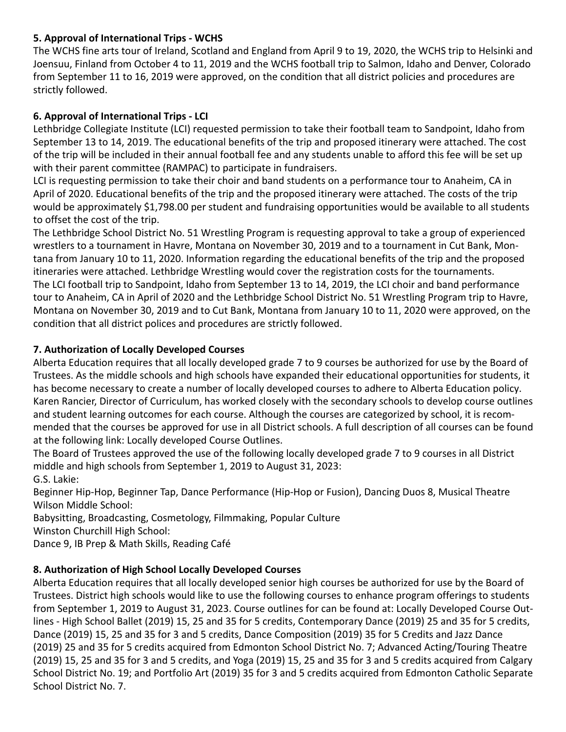# **5. Approval of International Trips - WCHS**

The WCHS fine arts tour of Ireland, Scotland and England from April 9 to 19, 2020, the WCHS trip to Helsinki and Joensuu, Finland from October 4 to 11, 2019 and the WCHS football trip to Salmon, Idaho and Denver, Colorado from September 11 to 16, 2019 were approved, on the condition that all district policies and procedures are strictly followed.

# **6. Approval of International Trips - LCI**

Lethbridge Collegiate Institute (LCI) requested permission to take their football team to Sandpoint, Idaho from September 13 to 14, 2019. The educational benefits of the trip and proposed itinerary were attached. The cost of the trip will be included in their annual football fee and any students unable to afford this fee will be set up with their parent committee (RAMPAC) to participate in fundraisers.

LCI is requesting permission to take their choir and band students on a performance tour to Anaheim, CA in April of 2020. Educational benefits of the trip and the proposed itinerary were attached. The costs of the trip would be approximately \$1,798.00 per student and fundraising opportunities would be available to all students to offset the cost of the trip.

The Lethbridge School District No. 51 Wrestling Program is requesting approval to take a group of experienced wrestlers to a tournament in Havre, Montana on November 30, 2019 and to a tournament in Cut Bank, Montana from January 10 to 11, 2020. Information regarding the educational benefits of the trip and the proposed itineraries were attached. Lethbridge Wrestling would cover the registration costs for the tournaments. The LCI football trip to Sandpoint, Idaho from September 13 to 14, 2019, the LCI choir and band performance tour to Anaheim, CA in April of 2020 and the Lethbridge School District No. 51 Wrestling Program trip to Havre, Montana on November 30, 2019 and to Cut Bank, Montana from January 10 to 11, 2020 were approved, on the condition that all district polices and procedures are strictly followed.

## **7. Authorization of Locally Developed Courses**

Alberta Education requires that all locally developed grade 7 to 9 courses be authorized for use by the Board of Trustees. As the middle schools and high schools have expanded their educational opportunities for students, it has become necessary to create a number of locally developed courses to adhere to Alberta Education policy. Karen Rancier, Director of Curriculum, has worked closely with the secondary schools to develop course outlines and student learning outcomes for each course. Although the courses are categorized by school, it is recommended that the courses be approved for use in all District schools. A full description of all courses can be found at the following link: Locally developed Course Outlines.

The Board of Trustees approved the use of the following locally developed grade 7 to 9 courses in all District middle and high schools from September 1, 2019 to August 31, 2023: G.S. Lakie:

Beginner Hip-Hop, Beginner Tap, Dance Performance (Hip-Hop or Fusion), Dancing Duos 8, Musical Theatre Wilson Middle School:

Babysitting, Broadcasting, Cosmetology, Filmmaking, Popular Culture

Winston Churchill High School:

Dance 9, IB Prep & Math Skills, Reading Café

# **8. Authorization of High School Locally Developed Courses**

Alberta Education requires that all locally developed senior high courses be authorized for use by the Board of Trustees. District high schools would like to use the following courses to enhance program offerings to students from September 1, 2019 to August 31, 2023. Course outlines for can be found at: Locally Developed Course Outlines - High School Ballet (2019) 15, 25 and 35 for 5 credits, Contemporary Dance (2019) 25 and 35 for 5 credits, Dance (2019) 15, 25 and 35 for 3 and 5 credits, Dance Composition (2019) 35 for 5 Credits and Jazz Dance (2019) 25 and 35 for 5 credits acquired from Edmonton School District No. 7; Advanced Acting/Touring Theatre (2019) 15, 25 and 35 for 3 and 5 credits, and Yoga (2019) 15, 25 and 35 for 3 and 5 credits acquired from Calgary School District No. 19; and Portfolio Art (2019) 35 for 3 and 5 credits acquired from Edmonton Catholic Separate School District No. 7.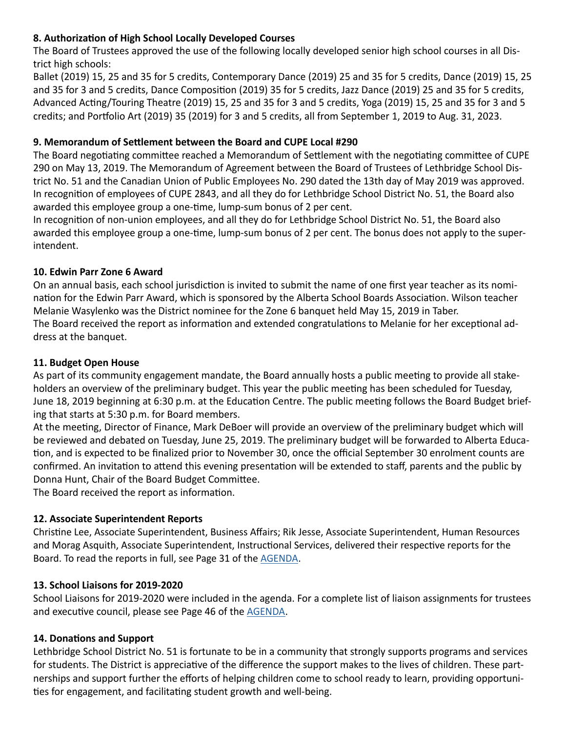# **8. Authorization of High School Locally Developed Courses**

The Board of Trustees approved the use of the following locally developed senior high school courses in all District high schools:

Ballet (2019) 15, 25 and 35 for 5 credits, Contemporary Dance (2019) 25 and 35 for 5 credits, Dance (2019) 15, 25 and 35 for 3 and 5 credits, Dance Composition (2019) 35 for 5 credits, Jazz Dance (2019) 25 and 35 for 5 credits, Advanced Acting/Touring Theatre (2019) 15, 25 and 35 for 3 and 5 credits, Yoga (2019) 15, 25 and 35 for 3 and 5 credits; and Portfolio Art (2019) 35 (2019) for 3 and 5 credits, all from September 1, 2019 to Aug. 31, 2023.

#### **9. Memorandum of Settlement between the Board and CUPE Local #290**

The Board negotiating committee reached a Memorandum of Settlement with the negotiating committee of CUPE 290 on May 13, 2019. The Memorandum of Agreement between the Board of Trustees of Lethbridge School District No. 51 and the Canadian Union of Public Employees No. 290 dated the 13th day of May 2019 was approved. In recognition of employees of CUPE 2843, and all they do for Lethbridge School District No. 51, the Board also awarded this employee group a one-time, lump-sum bonus of 2 per cent.

In recognition of non-union employees, and all they do for Lethbridge School District No. 51, the Board also awarded this employee group a one-time, lump-sum bonus of 2 per cent. The bonus does not apply to the superintendent.

#### **10. Edwin Parr Zone 6 Award**

On an annual basis, each school jurisdiction is invited to submit the name of one first year teacher as its nomination for the Edwin Parr Award, which is sponsored by the Alberta School Boards Association. Wilson teacher Melanie Wasylenko was the District nominee for the Zone 6 banquet held May 15, 2019 in Taber. The Board received the report as information and extended congratulations to Melanie for her exceptional address at the banquet.

#### **11. Budget Open House**

As part of its community engagement mandate, the Board annually hosts a public meeting to provide all stakeholders an overview of the preliminary budget. This year the public meeting has been scheduled for Tuesday, June 18, 2019 beginning at 6:30 p.m. at the Education Centre. The public meeting follows the Board Budget briefing that starts at 5:30 p.m. for Board members.

At the meeting, Director of Finance, Mark DeBoer will provide an overview of the preliminary budget which will be reviewed and debated on Tuesday, June 25, 2019. The preliminary budget will be forwarded to Alberta Education, and is expected to be finalized prior to November 30, once the official September 30 enrolment counts are confirmed. An invitation to attend this evening presentation will be extended to staff, parents and the public by Donna Hunt, Chair of the Board Budget Committee.

The Board received the report as information.

#### **12. Associate Superintendent Reports**

Christine Lee, Associate Superintendent, Business Affairs; Rik Jesse, Associate Superintendent, Human Resources and Morag Asquith, Associate Superintendent, Instructional Services, delivered their respective reports for the Board. To read the reports in full, see Page 31 of the [AGENDA.](http://www.lethsd.ab.ca/documents/general/2019-05-28%20Board%20Meeting%20Agenda.pdf)

#### **13. School Liaisons for 2019-2020**

School Liaisons for 2019-2020 were included in the agenda. For a complete list of liaison assignments for trustees and executive council, please see Page 46 of the [AGENDA.](http://www.lethsd.ab.ca/documents/general/2019-05-28%20Board%20Meeting%20Agenda.pdf)

#### **14. Donations and Support**

Lethbridge School District No. 51 is fortunate to be in a community that strongly supports programs and services for students. The District is appreciative of the difference the support makes to the lives of children. These partnerships and support further the efforts of helping children come to school ready to learn, providing opportunities for engagement, and facilitating student growth and well-being.